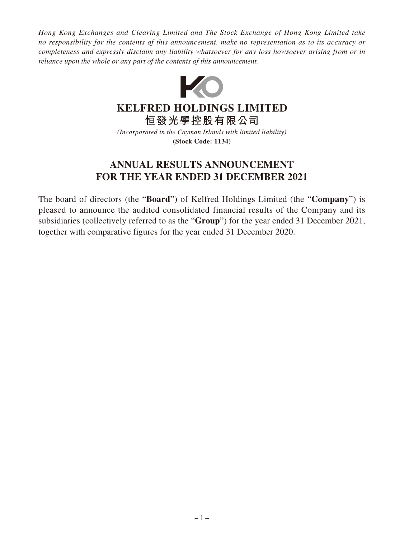*Hong Kong Exchanges and Clearing Limited and The Stock Exchange of Hong Kong Limited take no responsibility for the contents of this announcement, make no representation as to its accuracy or completeness and expressly disclaim any liability whatsoever for any loss howsoever arising from or in reliance upon the whole or any part of the contents of this announcement.*



# **KELFRED HOLDINGS LIMITED**

**恒發光學控股有限公司**

*(Incorporated in the Cayman Islands with limited liability)* **(Stock Code: 1134)**

# **ANNUAL RESULTS ANNOUNCEMENT FOR THE YEAR ENDED 31 DECEMBER 2021**

The board of directors (the "**Board**") of Kelfred Holdings Limited (the "**Company**") is pleased to announce the audited consolidated financial results of the Company and its subsidiaries (collectively referred to as the "**Group**") for the year ended 31 December 2021, together with comparative figures for the year ended 31 December 2020.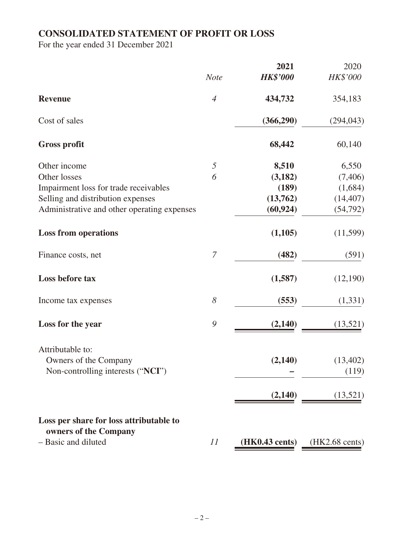# **CONSOLIDATED STATEMENT OF PROFIT OR LOSS**

For the year ended 31 December 2021

|                                             |                  | 2021            | 2020                     |
|---------------------------------------------|------------------|-----------------|--------------------------|
|                                             | <b>Note</b>      | <b>HK\$'000</b> | <b>HK\$'000</b>          |
| <b>Revenue</b>                              | $\overline{4}$   | 434,732         | 354,183                  |
| Cost of sales                               |                  | (366,290)       | (294, 043)               |
| <b>Gross profit</b>                         |                  | 68,442          | 60,140                   |
| Other income                                | $\mathfrak{H}$   | 8,510           | 6,550                    |
| Other losses                                | 6                | (3,182)         | (7,406)                  |
| Impairment loss for trade receivables       |                  | (189)           | (1,684)                  |
| Selling and distribution expenses           |                  | (13,762)        | (14, 407)                |
| Administrative and other operating expenses |                  | (60, 924)       | (54, 792)                |
| <b>Loss from operations</b>                 |                  | (1,105)         | (11,599)                 |
| Finance costs, net                          | $\boldsymbol{7}$ | (482)           | (591)                    |
| Loss before tax                             |                  | (1,587)         | (12,190)                 |
| Income tax expenses                         | $\delta$         | (553)           | (1, 331)                 |
| Loss for the year                           | 9                | (2,140)         | (13,521)                 |
| Attributable to:                            |                  |                 |                          |
| Owners of the Company                       |                  | (2,140)         | (13,402)                 |
| Non-controlling interests ("NCI")           |                  |                 | (119)                    |
|                                             |                  | (2,140)         | (13,521)                 |
| Loss per share for loss attributable to     |                  |                 |                          |
| owners of the Company                       |                  |                 |                          |
| - Basic and diluted                         | 11               | (HK0.43 cents)  | $(HK2.68 \text{ cents})$ |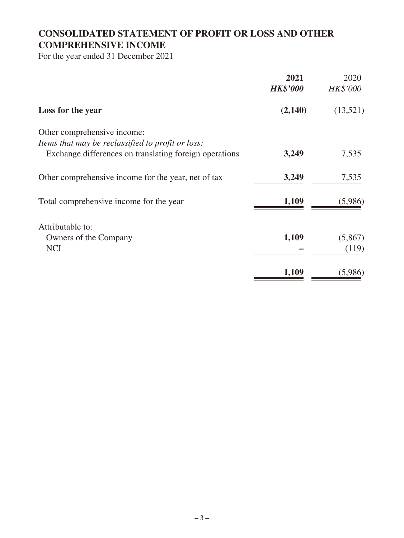# **CONSOLIDATED STATEMENT OF PROFIT OR LOSS AND OTHER COMPREHENSIVE INCOME**

For the year ended 31 December 2021

|                                                        | 2021<br><b>HK\$'000</b> | 2020<br><b>HK\$'000</b> |
|--------------------------------------------------------|-------------------------|-------------------------|
| Loss for the year                                      | (2,140)                 | (13,521)                |
| Other comprehensive income:                            |                         |                         |
| Items that may be reclassified to profit or loss:      |                         |                         |
| Exchange differences on translating foreign operations | 3,249                   | 7,535                   |
| Other comprehensive income for the year, net of tax    | 3,249                   | 7,535                   |
| Total comprehensive income for the year                | 1,109                   | (5,986)                 |
| Attributable to:                                       |                         |                         |
|                                                        | 1,109                   | (5,867)                 |
| Owners of the Company                                  |                         |                         |
| <b>NCI</b>                                             |                         | (119)                   |
|                                                        | 1,109                   | (5,986)                 |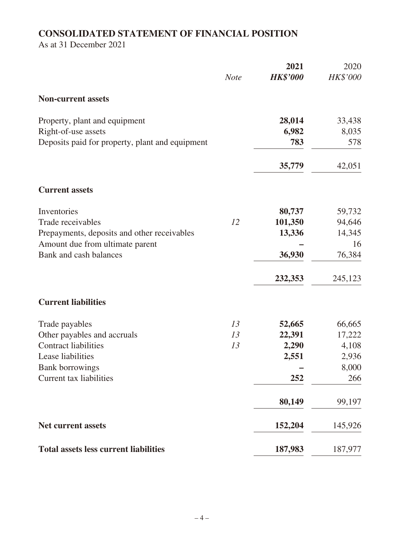# **CONSOLIDATED STATEMENT OF FINANCIAL POSITION**

As at 31 December 2021

|                                                 | <b>Note</b> | 2021<br><b>HK\$'000</b> | 2020<br>HK\$'000 |
|-------------------------------------------------|-------------|-------------------------|------------------|
| <b>Non-current assets</b>                       |             |                         |                  |
| Property, plant and equipment                   |             | 28,014                  | 33,438           |
| Right-of-use assets                             |             | 6,982                   | 8,035            |
| Deposits paid for property, plant and equipment |             | 783                     | 578              |
|                                                 |             | 35,779                  | 42,051           |
| <b>Current assets</b>                           |             |                         |                  |
| Inventories                                     |             | 80,737                  | 59,732           |
| Trade receivables                               | 12          | 101,350                 | 94,646           |
| Prepayments, deposits and other receivables     |             | 13,336                  | 14,345           |
| Amount due from ultimate parent                 |             |                         | 16               |
| Bank and cash balances                          |             | 36,930                  | 76,384           |
|                                                 |             | 232,353                 | 245,123          |
| <b>Current liabilities</b>                      |             |                         |                  |
| Trade payables                                  | 13          | 52,665                  | 66,665           |
| Other payables and accruals                     | 13          | 22,391                  | 17,222           |
| <b>Contract liabilities</b>                     | 13          | 2,290                   | 4,108            |
| Lease liabilities                               |             | 2,551                   | 2,936            |
| <b>Bank borrowings</b>                          |             |                         | 8,000            |
| Current tax liabilities                         |             | 252                     | 266              |
|                                                 |             | 80,149                  | 99,197           |
| <b>Net current assets</b>                       |             | 152,204                 | 145,926          |
| <b>Total assets less current liabilities</b>    |             | 187,983                 | 187,977          |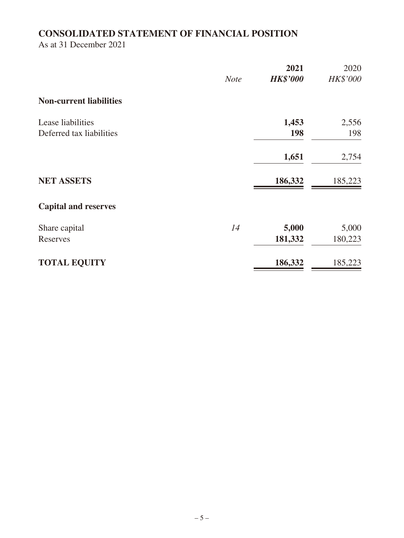# **CONSOLIDATED STATEMENT OF FINANCIAL POSITION**

As at 31 December 2021

|                                | <b>Note</b> | 2021<br><b>HK\$'000</b> | 2020<br><b>HK\$'000</b> |
|--------------------------------|-------------|-------------------------|-------------------------|
| <b>Non-current liabilities</b> |             |                         |                         |
| Lease liabilities              |             | 1,453                   | 2,556                   |
| Deferred tax liabilities       |             | 198                     | 198                     |
|                                |             | 1,651                   | 2,754                   |
| <b>NET ASSETS</b>              |             | 186,332                 | 185,223                 |
| <b>Capital and reserves</b>    |             |                         |                         |
| Share capital                  | 14          | 5,000                   | 5,000                   |
| Reserves                       |             | 181,332                 | 180,223                 |
| <b>TOTAL EQUITY</b>            |             | 186,332                 | 185,223                 |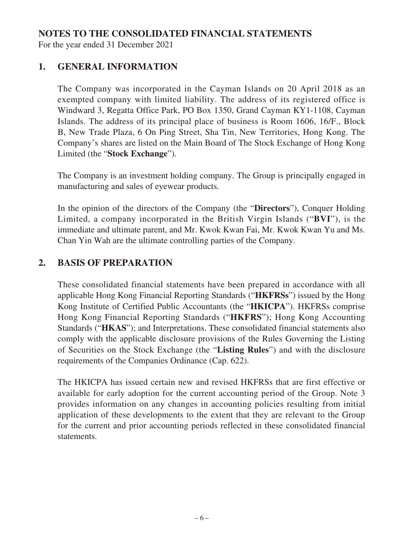### **NOTES TO THE CONSOLIDATED FINANCIAL STATEMENTS**

For the year ended 31 December 2021

# **1. GENERAL INFORMATION**

The Company was incorporated in the Cayman Islands on 20 April 2018 as an exempted company with limited liability. The address of its registered office is Windward 3, Regatta Office Park, PO Box 1350, Grand Cayman KY1-1108, Cayman Islands. The address of its principal place of business is Room 1606, 16/F., Block B, New Trade Plaza, 6 On Ping Street, Sha Tin, New Territories, Hong Kong. The Company's shares are listed on the Main Board of The Stock Exchange of Hong Kong Limited (the "**Stock Exchange**").

The Company is an investment holding company. The Group is principally engaged in manufacturing and sales of eyewear products.

In the opinion of the directors of the Company (the "**Directors**"), Conquer Holding Limited, a company incorporated in the British Virgin Islands ("**BVI**"), is the immediate and ultimate parent, and Mr. Kwok Kwan Fai, Mr. Kwok Kwan Yu and Ms. Chan Yin Wah are the ultimate controlling parties of the Company.

### **2. BASIS OF PREPARATION**

These consolidated financial statements have been prepared in accordance with all applicable Hong Kong Financial Reporting Standards ("**HKFRSs**") issued by the Hong Kong Institute of Certified Public Accountants (the "**HKICPA**"). HKFRSs comprise Hong Kong Financial Reporting Standards ("**HKFRS**"); Hong Kong Accounting Standards ("**HKAS**"); and Interpretations. These consolidated financial statements also comply with the applicable disclosure provisions of the Rules Governing the Listing of Securities on the Stock Exchange (the "**Listing Rules**") and with the disclosure requirements of the Companies Ordinance (Cap. 622).

The HKICPA has issued certain new and revised HKFRSs that are first effective or available for early adoption for the current accounting period of the Group. Note 3 provides information on any changes in accounting policies resulting from initial application of these developments to the extent that they are relevant to the Group for the current and prior accounting periods reflected in these consolidated financial statements.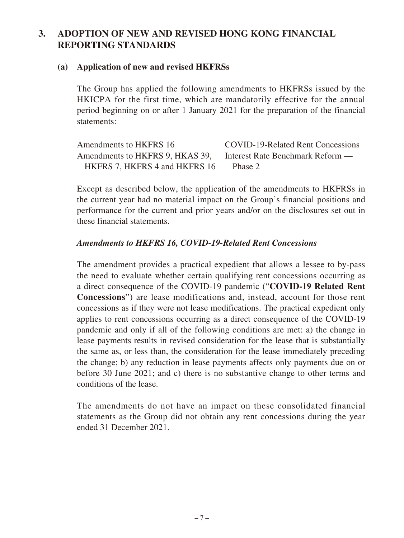# **3. ADOPTION OF NEW AND REVISED HONG KONG FINANCIAL REPORTING STANDARDS**

#### **(a) Application of new and revised HKFRSs**

The Group has applied the following amendments to HKFRSs issued by the HKICPA for the first time, which are mandatorily effective for the annual period beginning on or after 1 January 2021 for the preparation of the financial statements:

Amendments to HKFRS 16 COVID-19-Related Rent Concessions Amendments to HKFRS 9, HKAS 39, HKFRS 7, HKFRS 4 and HKFRS 16 Interest Rate Benchmark Reform — Phase 2

Except as described below, the application of the amendments to HKFRSs in the current year had no material impact on the Group's financial positions and performance for the current and prior years and/or on the disclosures set out in these financial statements.

#### *Amendments to HKFRS 16, COVID-19-Related Rent Concessions*

The amendment provides a practical expedient that allows a lessee to by-pass the need to evaluate whether certain qualifying rent concessions occurring as a direct consequence of the COVID-19 pandemic ("**COVID-19 Related Rent Concessions**") are lease modifications and, instead, account for those rent concessions as if they were not lease modifications. The practical expedient only applies to rent concessions occurring as a direct consequence of the COVID-19 pandemic and only if all of the following conditions are met: a) the change in lease payments results in revised consideration for the lease that is substantially the same as, or less than, the consideration for the lease immediately preceding the change; b) any reduction in lease payments affects only payments due on or before 30 June 2021; and c) there is no substantive change to other terms and conditions of the lease.

The amendments do not have an impact on these consolidated financial statements as the Group did not obtain any rent concessions during the year ended 31 December 2021.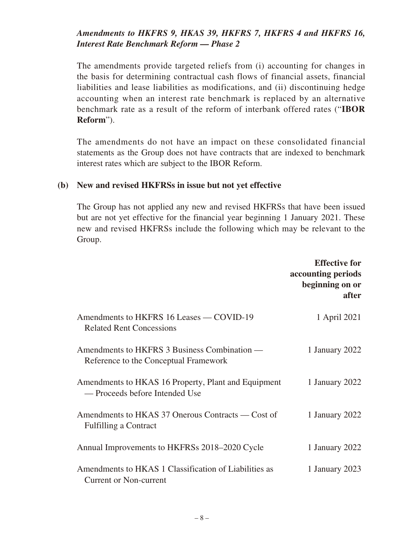### *Amendments to HKFRS 9, HKAS 39, HKFRS 7, HKFRS 4 and HKFRS 16, Interest Rate Benchmark Reform — Phase 2*

The amendments provide targeted reliefs from (i) accounting for changes in the basis for determining contractual cash flows of financial assets, financial liabilities and lease liabilities as modifications, and (ii) discontinuing hedge accounting when an interest rate benchmark is replaced by an alternative benchmark rate as a result of the reform of interbank offered rates ("**IBOR Reform**").

The amendments do not have an impact on these consolidated financial statements as the Group does not have contracts that are indexed to benchmark interest rates which are subject to the IBOR Reform.

#### **(b) New and revised HKFRSs in issue but not yet effective**

The Group has not applied any new and revised HKFRSs that have been issued but are not yet effective for the financial year beginning 1 January 2021. These new and revised HKFRSs include the following which may be relevant to the Group.

|                                                                                        | <b>Effective for</b><br>accounting periods<br>beginning on or<br>after |
|----------------------------------------------------------------------------------------|------------------------------------------------------------------------|
| Amendments to HKFRS 16 Leases — COVID-19<br><b>Related Rent Concessions</b>            | 1 April 2021                                                           |
| Amendments to HKFRS 3 Business Combination —<br>Reference to the Conceptual Framework  | 1 January 2022                                                         |
| Amendments to HKAS 16 Property, Plant and Equipment<br>— Proceeds before Intended Use  | 1 January 2022                                                         |
| Amendments to HKAS 37 Onerous Contracts — Cost of<br><b>Fulfilling a Contract</b>      | 1 January 2022                                                         |
| Annual Improvements to HKFRSs 2018–2020 Cycle                                          | 1 January 2022                                                         |
| Amendments to HKAS 1 Classification of Liabilities as<br><b>Current or Non-current</b> | 1 January 2023                                                         |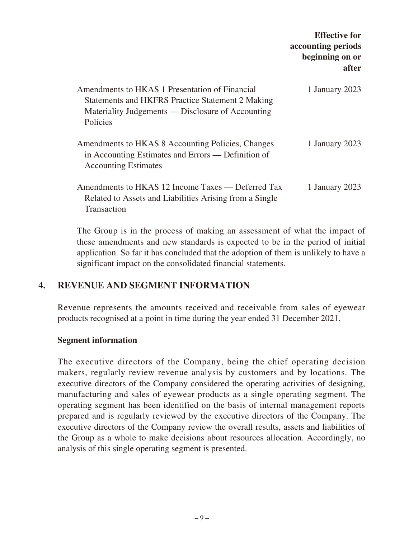|                                                                                                                                                                            | <b>Effective for</b><br>accounting periods<br>beginning on or<br>after |
|----------------------------------------------------------------------------------------------------------------------------------------------------------------------------|------------------------------------------------------------------------|
| Amendments to HKAS 1 Presentation of Financial<br><b>Statements and HKFRS Practice Statement 2 Making</b><br>Materiality Judgements — Disclosure of Accounting<br>Policies | 1 January 2023                                                         |
| Amendments to HKAS 8 Accounting Policies, Changes<br>in Accounting Estimates and Errors — Definition of<br><b>Accounting Estimates</b>                                     | 1 January 2023                                                         |
| Amendments to HKAS 12 Income Taxes — Deferred Tax<br>Related to Assets and Liabilities Arising from a Single<br>Transaction                                                | 1 January 2023                                                         |

The Group is in the process of making an assessment of what the impact of these amendments and new standards is expected to be in the period of initial application. So far it has concluded that the adoption of them is unlikely to have a significant impact on the consolidated financial statements.

# **4. REVENUE AND SEGMENT INFORMATION**

Revenue represents the amounts received and receivable from sales of eyewear products recognised at a point in time during the year ended 31 December 2021.

### **Segment information**

The executive directors of the Company, being the chief operating decision makers, regularly review revenue analysis by customers and by locations. The executive directors of the Company considered the operating activities of designing, manufacturing and sales of eyewear products as a single operating segment. The operating segment has been identified on the basis of internal management reports prepared and is regularly reviewed by the executive directors of the Company. The executive directors of the Company review the overall results, assets and liabilities of the Group as a whole to make decisions about resources allocation. Accordingly, no analysis of this single operating segment is presented.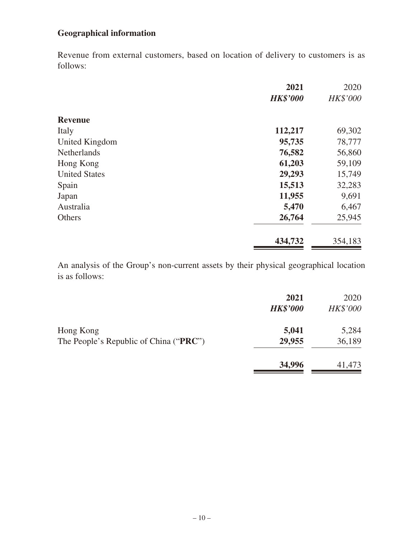# **Geographical information**

Revenue from external customers, based on location of delivery to customers is as follows:

|                      | 2021<br><b>HK\$'000</b> | 2020<br>HK\$'000 |
|----------------------|-------------------------|------------------|
|                      |                         |                  |
| <b>Revenue</b>       |                         |                  |
| Italy                | 112,217                 | 69,302           |
| United Kingdom       | 95,735                  | 78,777           |
| <b>Netherlands</b>   | 76,582                  | 56,860           |
| Hong Kong            | 61,203                  | 59,109           |
| <b>United States</b> | 29,293                  | 15,749           |
| Spain                | 15,513                  | 32,283           |
| Japan                | 11,955                  | 9,691            |
| Australia            | 5,470                   | 6,467            |
| Others               | 26,764                  | 25,945           |
|                      | 434,732                 | 354,183          |

An analysis of the Group's non-current assets by their physical geographical location is as follows:

|                                                              | 2021<br><b>HK\$'000</b> | 2020<br>HK\$'000 |
|--------------------------------------------------------------|-------------------------|------------------|
| Hong Kong<br>The People's Republic of China (" <b>PRC</b> ") | 5,041<br>29,955         | 5,284<br>36,189  |
|                                                              | 34,996                  | 41,473           |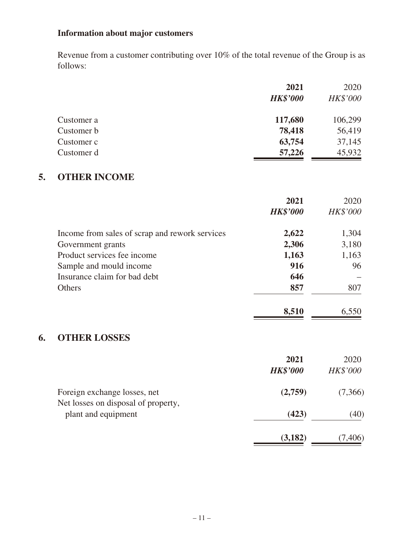# **Information about major customers**

Revenue from a customer contributing over 10% of the total revenue of the Group is as follows:

|            | 2021            | 2020     |
|------------|-----------------|----------|
|            | <b>HK\$'000</b> | HK\$'000 |
| Customer a | 117,680         | 106,299  |
| Customer b | 78,418          | 56,419   |
| Customer c | 63,754          | 37,145   |
| Customer d | 57,226          | 45,932   |

# **5. OTHER INCOME**

|                                                | 2021            | 2020            |
|------------------------------------------------|-----------------|-----------------|
|                                                | <b>HK\$'000</b> | <b>HK\$'000</b> |
| Income from sales of scrap and rework services | 2,622           | 1,304           |
| Government grants                              | 2,306           | 3,180           |
| Product services fee income                    | 1,163           | 1,163           |
| Sample and mould income                        | 916             | 96              |
| Insurance claim for bad debt                   | 646             |                 |
| Others                                         | 857             | 807             |
|                                                | 8,510           | 6,550           |

# **6. OTHER LOSSES**

|                                                            | 2021<br><b>HK\$'000</b> | 2020<br><b>HK\$'000</b> |
|------------------------------------------------------------|-------------------------|-------------------------|
| Foreign exchange losses, net                               | (2,759)                 | (7,366)                 |
| Net losses on disposal of property,<br>plant and equipment | (423)                   | (40)                    |
|                                                            | (3,182)                 | (7,406)                 |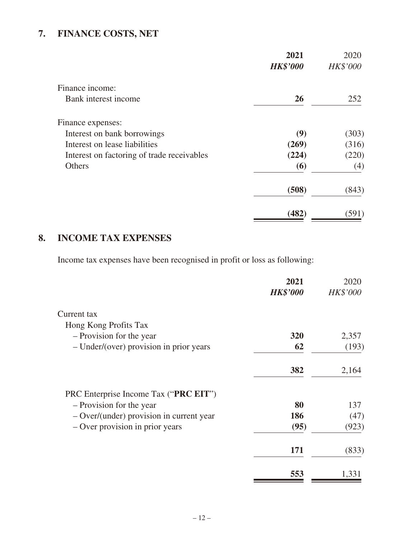# **7. FINANCE COSTS, NET**

|                                            | 2021<br><b>HK\$'000</b> | 2020<br>HK\$'000 |
|--------------------------------------------|-------------------------|------------------|
| Finance income:                            |                         |                  |
| Bank interest income                       | <b>26</b>               | 252              |
| Finance expenses:                          |                         |                  |
| Interest on bank borrowings                | (9)                     | (303)            |
| Interest on lease liabilities              | (269)                   | (316)            |
| Interest on factoring of trade receivables | (224)                   | (220)            |
| <b>Others</b>                              | (6)                     | (4)              |
|                                            | (508)                   | (843)            |
|                                            | (482)                   | (591)            |

# **8. INCOME TAX EXPENSES**

Income tax expenses have been recognised in profit or loss as following:

|                                          | 2021            | 2020            |
|------------------------------------------|-----------------|-----------------|
|                                          | <b>HK\$'000</b> | <b>HK\$'000</b> |
| Current tax                              |                 |                 |
| Hong Kong Profits Tax                    |                 |                 |
| - Provision for the year                 | 320             | 2,357           |
| - Under/(over) provision in prior years  | 62              | (193)           |
|                                          | 382             | 2,164           |
| PRC Enterprise Income Tax ("PRC EIT")    |                 |                 |
| - Provision for the year                 | 80              | 137             |
| - Over/(under) provision in current year | 186             | (47)            |
| - Over provision in prior years          | (95)            | (923)           |
|                                          | 171             | (833)           |
|                                          | 553             | 1,331           |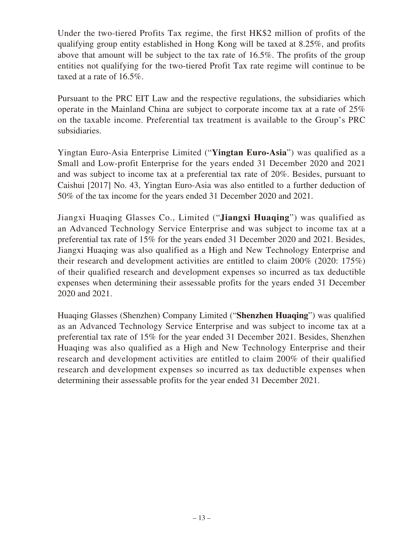Under the two-tiered Profits Tax regime, the first HK\$2 million of profits of the qualifying group entity established in Hong Kong will be taxed at 8.25%, and profits above that amount will be subject to the tax rate of 16.5%. The profits of the group entities not qualifying for the two-tiered Profit Tax rate regime will continue to be taxed at a rate of 16.5%.

Pursuant to the PRC EIT Law and the respective regulations, the subsidiaries which operate in the Mainland China are subject to corporate income tax at a rate of 25% on the taxable income. Preferential tax treatment is available to the Group's PRC subsidiaries.

Yingtan Euro-Asia Enterprise Limited ("**Yingtan Euro-Asia**") was qualified as a Small and Low-profit Enterprise for the years ended 31 December 2020 and 2021 and was subject to income tax at a preferential tax rate of 20%. Besides, pursuant to Caishui [2017] No. 43, Yingtan Euro-Asia was also entitled to a further deduction of 50% of the tax income for the years ended 31 December 2020 and 2021.

Jiangxi Huaqing Glasses Co., Limited ("**Jiangxi Huaqing**") was qualified as an Advanced Technology Service Enterprise and was subject to income tax at a preferential tax rate of 15% for the years ended 31 December 2020 and 2021. Besides, Jiangxi Huaqing was also qualified as a High and New Technology Enterprise and their research and development activities are entitled to claim 200% (2020: 175%) of their qualified research and development expenses so incurred as tax deductible expenses when determining their assessable profits for the years ended 31 December 2020 and 2021.

Huaqing Glasses (Shenzhen) Company Limited ("**Shenzhen Huaqing**") was qualified as an Advanced Technology Service Enterprise and was subject to income tax at a preferential tax rate of 15% for the year ended 31 December 2021. Besides, Shenzhen Huaqing was also qualified as a High and New Technology Enterprise and their research and development activities are entitled to claim 200% of their qualified research and development expenses so incurred as tax deductible expenses when determining their assessable profits for the year ended 31 December 2021.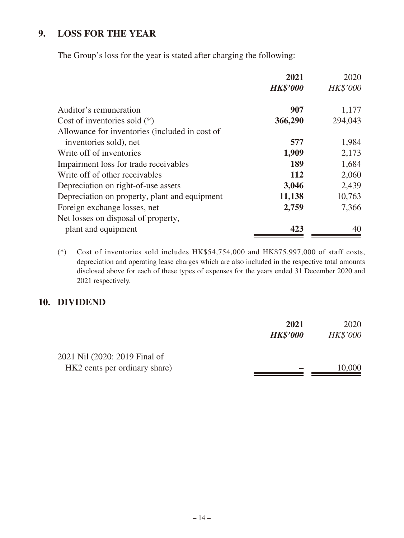# **9. LOSS FOR THE YEAR**

The Group's loss for the year is stated after charging the following:

|                                                | 2021            | 2020            |
|------------------------------------------------|-----------------|-----------------|
|                                                | <b>HK\$'000</b> | <b>HK\$'000</b> |
| Auditor's remuneration                         | 907             | 1,177           |
| Cost of inventories sold $(*)$                 | 366,290         | 294,043         |
| Allowance for inventories (included in cost of |                 |                 |
| inventories sold), net                         | 577             | 1,984           |
| Write off of inventories                       | 1,909           | 2,173           |
| Impairment loss for trade receivables          | 189             | 1,684           |
| Write off of other receivables                 | <b>112</b>      | 2,060           |
| Depreciation on right-of-use assets            | 3,046           | 2,439           |
| Depreciation on property, plant and equipment  | 11,138          | 10,763          |
| Foreign exchange losses, net                   | 2,759           | 7,366           |
| Net losses on disposal of property,            |                 |                 |
| plant and equipment                            | 423             | 40              |

(\*) Cost of inventories sold includes HK\$54,754,000 and HK\$75,997,000 of staff costs, depreciation and operating lease charges which are also included in the respective total amounts disclosed above for each of these types of expenses for the years ended 31 December 2020 and 2021 respectively.

#### **10. DIVIDEND**

|                               | 2021            | 2020            |
|-------------------------------|-----------------|-----------------|
|                               | <b>HK\$'000</b> | <b>HK\$'000</b> |
| 2021 Nil (2020: 2019 Final of |                 |                 |
| HK2 cents per ordinary share) |                 | 10,000          |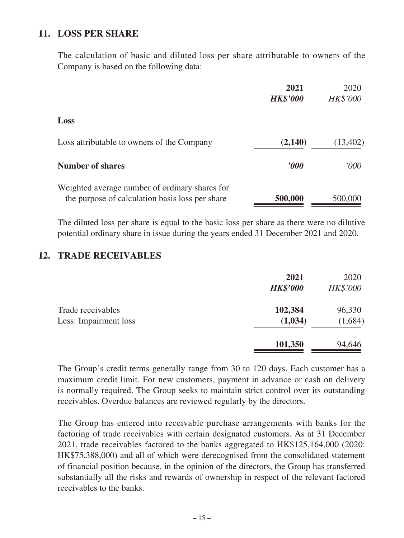# **11. LOSS PER SHARE**

The calculation of basic and diluted loss per share attributable to owners of the Company is based on the following data:

|                                                                                                   | 2021<br><b>HK\$'000</b> | 2020<br>HK\$'000 |
|---------------------------------------------------------------------------------------------------|-------------------------|------------------|
| Loss                                                                                              |                         |                  |
| Loss attributable to owners of the Company                                                        | (2,140)                 | (13,402)         |
| <b>Number of shares</b>                                                                           | $\bm{v}$                | 000'             |
| Weighted average number of ordinary shares for<br>the purpose of calculation basis loss per share | 500,000                 | 500,000          |

The diluted loss per share is equal to the basic loss per share as there were no dilutive potential ordinary share in issue during the years ended 31 December 2021 and 2020.

#### **12. TRADE RECEIVABLES**

|                                            | 2021<br><b>HK\$'000</b> | 2020<br><b>HK\$'000</b> |
|--------------------------------------------|-------------------------|-------------------------|
| Trade receivables<br>Less: Impairment loss | 102,384<br>(1,034)      | 96,330<br>(1,684)       |
|                                            | 101,350                 | 94,646                  |

The Group's credit terms generally range from 30 to 120 days. Each customer has a maximum credit limit. For new customers, payment in advance or cash on delivery is normally required. The Group seeks to maintain strict control over its outstanding receivables. Overdue balances are reviewed regularly by the directors.

The Group has entered into receivable purchase arrangements with banks for the factoring of trade receivables with certain designated customers. As at 31 December 2021, trade receivables factored to the banks aggregated to HK\$125,164,000 (2020: HK\$75,388,000) and all of which were derecognised from the consolidated statement of financial position because, in the opinion of the directors, the Group has transferred substantially all the risks and rewards of ownership in respect of the relevant factored receivables to the banks.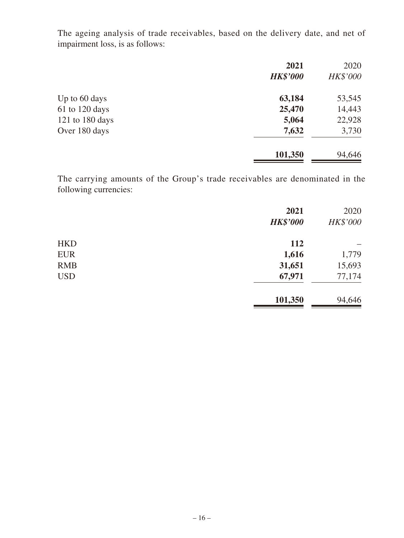The ageing analysis of trade receivables, based on the delivery date, and net of impairment loss, is as follows:

|                 | 2021            | 2020            |
|-----------------|-----------------|-----------------|
|                 | <b>HK\$'000</b> | <b>HK\$'000</b> |
| Up to 60 days   | 63,184          | 53,545          |
| 61 to 120 days  | 25,470          | 14,443          |
| 121 to 180 days | 5,064           | 22,928          |
| Over 180 days   | 7,632           | 3,730           |
|                 | 101,350         | 94,646          |

The carrying amounts of the Group's trade receivables are denominated in the following currencies:

|            | 2021<br><b>HK\$'000</b> | 2020<br>HK\$'000 |
|------------|-------------------------|------------------|
|            |                         |                  |
| <b>HKD</b> | <b>112</b>              |                  |
| <b>EUR</b> | 1,616                   | 1,779            |
| <b>RMB</b> | 31,651                  | 15,693           |
| <b>USD</b> | 67,971                  | 77,174           |
|            | 101,350                 | 94,646           |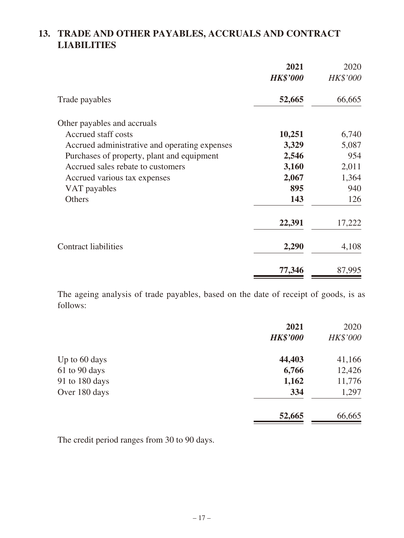# **13. TRADE AND OTHER PAYABLES, ACCRUALS AND CONTRACT LIABILITIES**

|                                               | 2021<br><b>HK\$'000</b> | 2020<br><b>HK\$'000</b> |
|-----------------------------------------------|-------------------------|-------------------------|
| Trade payables                                | 52,665                  | 66,665                  |
| Other payables and accruals                   |                         |                         |
| Accrued staff costs                           | 10,251                  | 6,740                   |
| Accrued administrative and operating expenses | 3,329                   | 5,087                   |
| Purchases of property, plant and equipment    | 2,546                   | 954                     |
| Accrued sales rebate to customers             | 3,160                   | 2,011                   |
| Accrued various tax expenses                  | 2,067                   | 1,364                   |
| VAT payables                                  | 895                     | 940                     |
| Others                                        | 143                     | 126                     |
|                                               | 22,391                  | 17,222                  |
| <b>Contract liabilities</b>                   | 2,290                   | 4,108                   |
|                                               | 77,346                  | 87,995                  |

The ageing analysis of trade payables, based on the date of receipt of goods, is as follows:

|                | 2021            | 2020     |
|----------------|-----------------|----------|
|                | <b>HK\$'000</b> | HK\$'000 |
| Up to 60 days  | 44,403          | 41,166   |
| 61 to 90 days  | 6,766           | 12,426   |
| 91 to 180 days | 1,162           | 11,776   |
| Over 180 days  | 334             | 1,297    |
|                | 52,665          | 66,665   |

The credit period ranges from 30 to 90 days.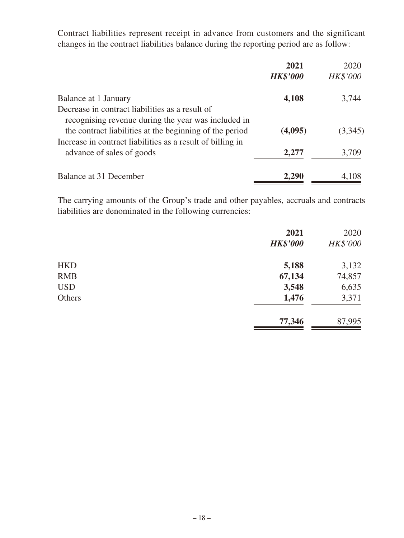Contract liabilities represent receipt in advance from customers and the significant changes in the contract liabilities balance during the reporting period are as follow:

|                                                                                                                       | 2021            | 2020            |
|-----------------------------------------------------------------------------------------------------------------------|-----------------|-----------------|
|                                                                                                                       | <b>HK\$'000</b> | <b>HK\$'000</b> |
| Balance at 1 January                                                                                                  | 4,108           | 3,744           |
| Decrease in contract liabilities as a result of<br>recognising revenue during the year was included in                |                 |                 |
| the contract liabilities at the beginning of the period<br>Increase in contract liabilities as a result of billing in | (4,095)         | (3,345)         |
| advance of sales of goods                                                                                             | 2,277           | 3,709           |
| Balance at 31 December                                                                                                | 2,290           | 4,108           |

The carrying amounts of the Group's trade and other payables, accruals and contracts liabilities are denominated in the following currencies:

|            | 2021            | 2020     |
|------------|-----------------|----------|
|            | <b>HK\$'000</b> | HK\$'000 |
| <b>HKD</b> | 5,188           | 3,132    |
| <b>RMB</b> | 67,134          | 74,857   |
| <b>USD</b> | 3,548           | 6,635    |
| Others     | 1,476           | 3,371    |
|            | 77,346          | 87,995   |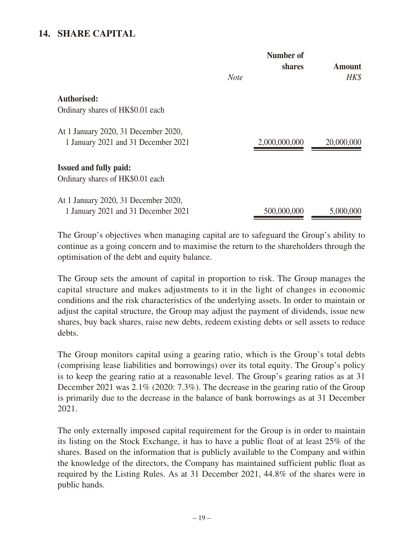### **14. SHARE CAPITAL**

|                                                                             | Number of<br>shares |               |            |  | <b>Amount</b> |
|-----------------------------------------------------------------------------|---------------------|---------------|------------|--|---------------|
|                                                                             | <b>Note</b>         |               | HK\$       |  |               |
| <b>Authorised:</b>                                                          |                     |               |            |  |               |
| Ordinary shares of HK\$0.01 each                                            |                     |               |            |  |               |
| At 1 January 2020, 31 December 2020,<br>1 January 2021 and 31 December 2021 |                     | 2,000,000,000 | 20,000,000 |  |               |
| <b>Issued and fully paid:</b><br>Ordinary shares of HK\$0.01 each           |                     |               |            |  |               |
| At 1 January 2020, 31 December 2020,<br>1 January 2021 and 31 December 2021 |                     | 500,000,000   | 5,000,000  |  |               |

The Group's objectives when managing capital are to safeguard the Group's ability to continue as a going concern and to maximise the return to the shareholders through the optimisation of the debt and equity balance.

The Group sets the amount of capital in proportion to risk. The Group manages the capital structure and makes adjustments to it in the light of changes in economic conditions and the risk characteristics of the underlying assets. In order to maintain or adjust the capital structure, the Group may adjust the payment of dividends, issue new shares, buy back shares, raise new debts, redeem existing debts or sell assets to reduce debts.

The Group monitors capital using a gearing ratio, which is the Group's total debts (comprising lease liabilities and borrowings) over its total equity. The Group's policy is to keep the gearing ratio at a reasonable level. The Group's gearing ratios as at 31 December 2021 was 2.1% (2020: 7.3%). The decrease in the gearing ratio of the Group is primarily due to the decrease in the balance of bank borrowings as at 31 December 2021.

The only externally imposed capital requirement for the Group is in order to maintain its listing on the Stock Exchange, it has to have a public float of at least 25% of the shares. Based on the information that is publicly available to the Company and within the knowledge of the directors, the Company has maintained sufficient public float as required by the Listing Rules. As at 31 December 2021, 44.8% of the shares were in public hands.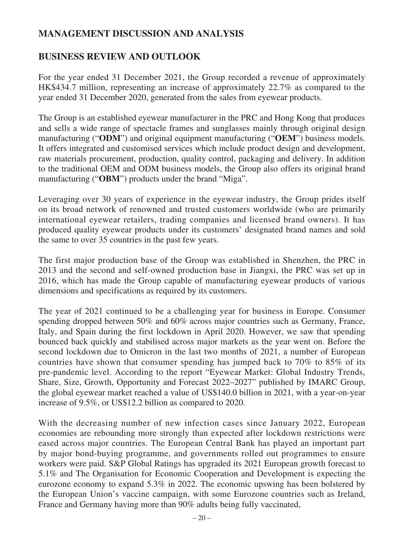# **MANAGEMENT DISCUSSION AND ANALYSIS**

## **BUSINESS REVIEW AND OUTLOOK**

For the year ended 31 December 2021, the Group recorded a revenue of approximately HK\$434.7 million, representing an increase of approximately 22.7% as compared to the year ended 31 December 2020, generated from the sales from eyewear products.

The Group is an established eyewear manufacturer in the PRC and Hong Kong that produces and sells a wide range of spectacle frames and sunglasses mainly through original design manufacturing ("**ODM**") and original equipment manufacturing ("**OEM**") business models. It offers integrated and customised services which include product design and development, raw materials procurement, production, quality control, packaging and delivery. In addition to the traditional OEM and ODM business models, the Group also offers its original brand manufacturing ("OBM") products under the brand "Miga".

Leveraging over 30 years of experience in the eyewear industry, the Group prides itself on its broad network of renowned and trusted customers worldwide (who are primarily international eyewear retailers, trading companies and licensed brand owners). It has produced quality eyewear products under its customers' designated brand names and sold the same to over 35 countries in the past few years.

The first major production base of the Group was established in Shenzhen, the PRC in 2013 and the second and self-owned production base in Jiangxi, the PRC was set up in 2016, which has made the Group capable of manufacturing eyewear products of various dimensions and specifications as required by its customers.

The year of 2021 continued to be a challenging year for business in Europe. Consumer spending dropped between 50% and 60% across major countries such as Germany, France, Italy, and Spain during the first lockdown in April 2020. However, we saw that spending bounced back quickly and stabilised across major markets as the year went on. Before the second lockdown due to Omicron in the last two months of 2021, a number of European countries have shown that consumer spending has jumped back to 70% to 85% of its pre-pandemic level. According to the report "Eyewear Market: Global Industry Trends, Share, Size, Growth, Opportunity and Forecast 2022–2027" published by IMARC Group, the global eyewear market reached a value of US\$140.0 billion in 2021, with a year-on-year increase of 9.5%, or US\$12.2 billion as compared to 2020.

With the decreasing number of new infection cases since January 2022, European economies are rebounding more strongly than expected after lockdown restrictions were eased across major countries. The European Central Bank has played an important part by major bond-buying programme, and governments rolled out programmes to ensure workers were paid. S&P Global Ratings has upgraded its 2021 European growth forecast to 5.1% and The Organisation for Economic Cooperation and Development is expecting the eurozone economy to expand 5.3% in 2022. The economic upswing has been bolstered by the European Union's vaccine campaign, with some Eurozone countries such as Ireland, France and Germany having more than 90% adults being fully vaccinated,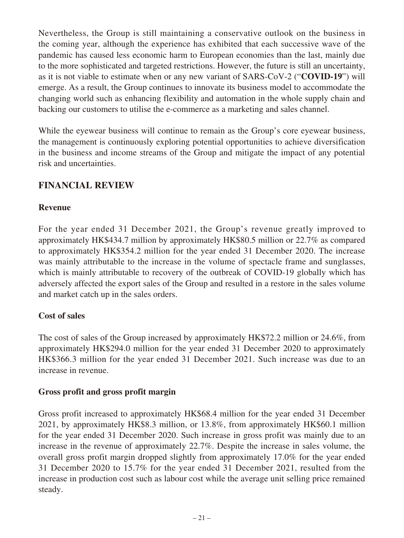Nevertheless, the Group is still maintaining a conservative outlook on the business in the coming year, although the experience has exhibited that each successive wave of the pandemic has caused less economic harm to European economies than the last, mainly due to the more sophisticated and targeted restrictions. However, the future is still an uncertainty, as it is not viable to estimate when or any new variant of SARS-CoV-2 ("**COVID-19**") will emerge. As a result, the Group continues to innovate its business model to accommodate the changing world such as enhancing flexibility and automation in the whole supply chain and backing our customers to utilise the e-commerce as a marketing and sales channel.

While the eyewear business will continue to remain as the Group's core eyewear business, the management is continuously exploring potential opportunities to achieve diversification in the business and income streams of the Group and mitigate the impact of any potential risk and uncertainties.

# **FINANCIAL REVIEW**

#### **Revenue**

For the year ended 31 December 2021, the Group's revenue greatly improved to approximately HK\$434.7 million by approximately HK\$80.5 million or 22.7% as compared to approximately HK\$354.2 million for the year ended 31 December 2020. The increase was mainly attributable to the increase in the volume of spectacle frame and sunglasses, which is mainly attributable to recovery of the outbreak of COVID-19 globally which has adversely affected the export sales of the Group and resulted in a restore in the sales volume and market catch up in the sales orders.

### **Cost of sales**

The cost of sales of the Group increased by approximately HK\$72.2 million or 24.6%, from approximately HK\$294.0 million for the year ended 31 December 2020 to approximately HK\$366.3 million for the year ended 31 December 2021. Such increase was due to an increase in revenue.

#### **Gross profit and gross profit margin**

Gross profit increased to approximately HK\$68.4 million for the year ended 31 December 2021, by approximately HK\$8.3 million, or 13.8%, from approximately HK\$60.1 million for the year ended 31 December 2020. Such increase in gross profit was mainly due to an increase in the revenue of approximately 22.7%. Despite the increase in sales volume, the overall gross profit margin dropped slightly from approximately 17.0% for the year ended 31 December 2020 to 15.7% for the year ended 31 December 2021, resulted from the increase in production cost such as labour cost while the average unit selling price remained steady.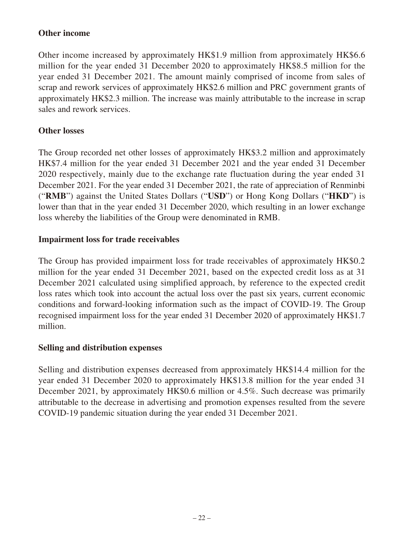#### **Other income**

Other income increased by approximately HK\$1.9 million from approximately HK\$6.6 million for the year ended 31 December 2020 to approximately HK\$8.5 million for the year ended 31 December 2021. The amount mainly comprised of income from sales of scrap and rework services of approximately HK\$2.6 million and PRC government grants of approximately HK\$2.3 million. The increase was mainly attributable to the increase in scrap sales and rework services.

#### **Other losses**

The Group recorded net other losses of approximately HK\$3.2 million and approximately HK\$7.4 million for the year ended 31 December 2021 and the year ended 31 December 2020 respectively, mainly due to the exchange rate fluctuation during the year ended 31 December 2021. For the year ended 31 December 2021, the rate of appreciation of Renminbi ("**RMB**") against the United States Dollars ("**USD**") or Hong Kong Dollars ("**HKD**") is lower than that in the year ended 31 December 2020, which resulting in an lower exchange loss whereby the liabilities of the Group were denominated in RMB.

#### **Impairment loss for trade receivables**

The Group has provided impairment loss for trade receivables of approximately HK\$0.2 million for the year ended 31 December 2021, based on the expected credit loss as at 31 December 2021 calculated using simplified approach, by reference to the expected credit loss rates which took into account the actual loss over the past six years, current economic conditions and forward-looking information such as the impact of COVID-19. The Group recognised impairment loss for the year ended 31 December 2020 of approximately HK\$1.7 million.

#### **Selling and distribution expenses**

Selling and distribution expenses decreased from approximately HK\$14.4 million for the year ended 31 December 2020 to approximately HK\$13.8 million for the year ended 31 December 2021, by approximately HK\$0.6 million or 4.5%. Such decrease was primarily attributable to the decrease in advertising and promotion expenses resulted from the severe COVID-19 pandemic situation during the year ended 31 December 2021.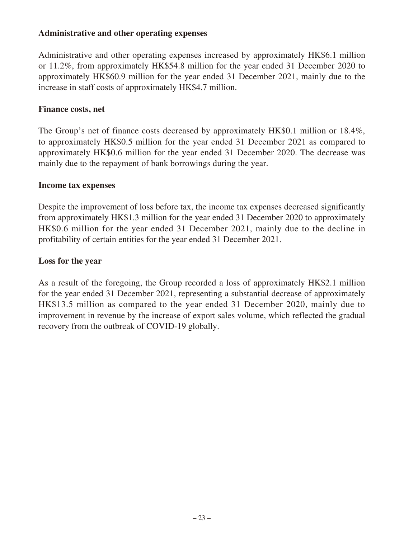#### **Administrative and other operating expenses**

Administrative and other operating expenses increased by approximately HK\$6.1 million or 11.2%, from approximately HK\$54.8 million for the year ended 31 December 2020 to approximately HK\$60.9 million for the year ended 31 December 2021, mainly due to the increase in staff costs of approximately HK\$4.7 million.

#### **Finance costs, net**

The Group's net of finance costs decreased by approximately HK\$0.1 million or 18.4%, to approximately HK\$0.5 million for the year ended 31 December 2021 as compared to approximately HK\$0.6 million for the year ended 31 December 2020. The decrease was mainly due to the repayment of bank borrowings during the year.

#### **Income tax expenses**

Despite the improvement of loss before tax, the income tax expenses decreased significantly from approximately HK\$1.3 million for the year ended 31 December 2020 to approximately HK\$0.6 million for the year ended 31 December 2021, mainly due to the decline in profitability of certain entities for the year ended 31 December 2021.

#### **Loss for the year**

As a result of the foregoing, the Group recorded a loss of approximately HK\$2.1 million for the year ended 31 December 2021, representing a substantial decrease of approximately HK\$13.5 million as compared to the year ended 31 December 2020, mainly due to improvement in revenue by the increase of export sales volume, which reflected the gradual recovery from the outbreak of COVID-19 globally.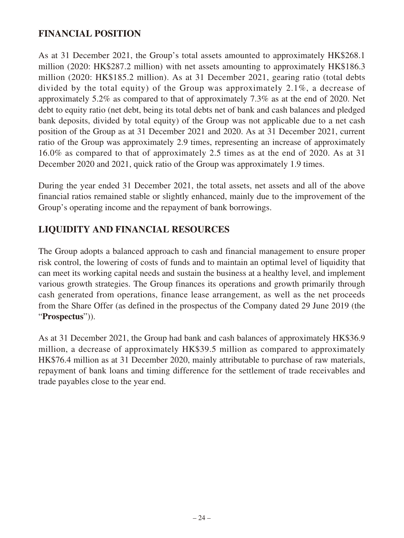# **FINANCIAL POSITION**

As at 31 December 2021, the Group's total assets amounted to approximately HK\$268.1 million (2020: HK\$287.2 million) with net assets amounting to approximately HK\$186.3 million (2020: HK\$185.2 million). As at 31 December 2021, gearing ratio (total debts divided by the total equity) of the Group was approximately 2.1%, a decrease of approximately 5.2% as compared to that of approximately 7.3% as at the end of 2020. Net debt to equity ratio (net debt, being its total debts net of bank and cash balances and pledged bank deposits, divided by total equity) of the Group was not applicable due to a net cash position of the Group as at 31 December 2021 and 2020. As at 31 December 2021, current ratio of the Group was approximately 2.9 times, representing an increase of approximately 16.0% as compared to that of approximately 2.5 times as at the end of 2020. As at 31 December 2020 and 2021, quick ratio of the Group was approximately 1.9 times.

During the year ended 31 December 2021, the total assets, net assets and all of the above financial ratios remained stable or slightly enhanced, mainly due to the improvement of the Group's operating income and the repayment of bank borrowings.

### **LIQUIDITY AND FINANCIAL RESOURCES**

The Group adopts a balanced approach to cash and financial management to ensure proper risk control, the lowering of costs of funds and to maintain an optimal level of liquidity that can meet its working capital needs and sustain the business at a healthy level, and implement various growth strategies. The Group finances its operations and growth primarily through cash generated from operations, finance lease arrangement, as well as the net proceeds from the Share Offer (as defined in the prospectus of the Company dated 29 June 2019 (the "**Prospectus**")).

As at 31 December 2021, the Group had bank and cash balances of approximately HK\$36.9 million, a decrease of approximately HK\$39.5 million as compared to approximately HK\$76.4 million as at 31 December 2020, mainly attributable to purchase of raw materials, repayment of bank loans and timing difference for the settlement of trade receivables and trade payables close to the year end.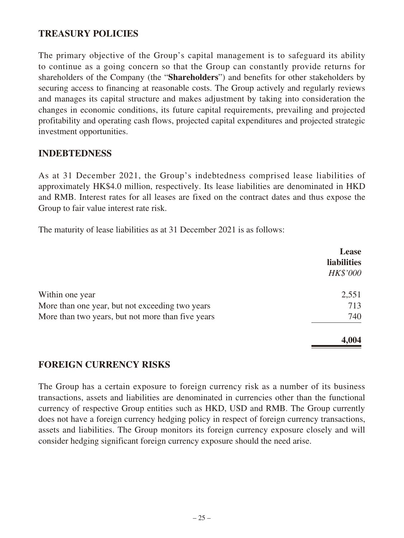### **TREASURY POLICIES**

The primary objective of the Group's capital management is to safeguard its ability to continue as a going concern so that the Group can constantly provide returns for shareholders of the Company (the "**Shareholders**") and benefits for other stakeholders by securing access to financing at reasonable costs. The Group actively and regularly reviews and manages its capital structure and makes adjustment by taking into consideration the changes in economic conditions, its future capital requirements, prevailing and projected profitability and operating cash flows, projected capital expenditures and projected strategic investment opportunities.

#### **INDEBTEDNESS**

As at 31 December 2021, the Group's indebtedness comprised lease liabilities of approximately HK\$4.0 million, respectively. Its lease liabilities are denominated in HKD and RMB. Interest rates for all leases are fixed on the contract dates and thus expose the Group to fair value interest rate risk.

The maturity of lease liabilities as at 31 December 2021 is as follows:

|                                                   | <b>Lease</b><br><b>liabilities</b><br><b>HK\$'000</b> |
|---------------------------------------------------|-------------------------------------------------------|
| Within one year                                   | 2,551                                                 |
| More than one year, but not exceeding two years   | 713                                                   |
| More than two years, but not more than five years | 740                                                   |
|                                                   | 4,004                                                 |

### **FOREIGN CURRENCY RISKS**

The Group has a certain exposure to foreign currency risk as a number of its business transactions, assets and liabilities are denominated in currencies other than the functional currency of respective Group entities such as HKD, USD and RMB. The Group currently does not have a foreign currency hedging policy in respect of foreign currency transactions, assets and liabilities. The Group monitors its foreign currency exposure closely and will consider hedging significant foreign currency exposure should the need arise.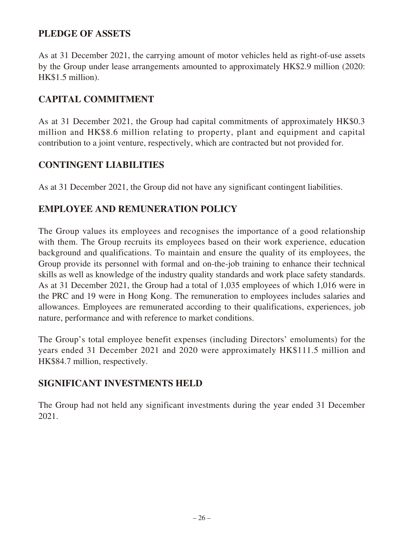### **PLEDGE OF ASSETS**

As at 31 December 2021, the carrying amount of motor vehicles held as right-of-use assets by the Group under lease arrangements amounted to approximately HK\$2.9 million (2020: HK\$1.5 million).

# **CAPITAL COMMITMENT**

As at 31 December 2021, the Group had capital commitments of approximately HK\$0.3 million and HK\$8.6 million relating to property, plant and equipment and capital contribution to a joint venture, respectively, which are contracted but not provided for.

### **CONTINGENT LIABILITIES**

As at 31 December 2021, the Group did not have any significant contingent liabilities.

# **EMPLOYEE AND REMUNERATION POLICY**

The Group values its employees and recognises the importance of a good relationship with them. The Group recruits its employees based on their work experience, education background and qualifications. To maintain and ensure the quality of its employees, the Group provide its personnel with formal and on-the-job training to enhance their technical skills as well as knowledge of the industry quality standards and work place safety standards. As at 31 December 2021, the Group had a total of 1,035 employees of which 1,016 were in the PRC and 19 were in Hong Kong. The remuneration to employees includes salaries and allowances. Employees are remunerated according to their qualifications, experiences, job nature, performance and with reference to market conditions.

The Group's total employee benefit expenses (including Directors' emoluments) for the years ended 31 December 2021 and 2020 were approximately HK\$111.5 million and HK\$84.7 million, respectively.

### **SIGNIFICANT INVESTMENTS HELD**

The Group had not held any significant investments during the year ended 31 December 2021.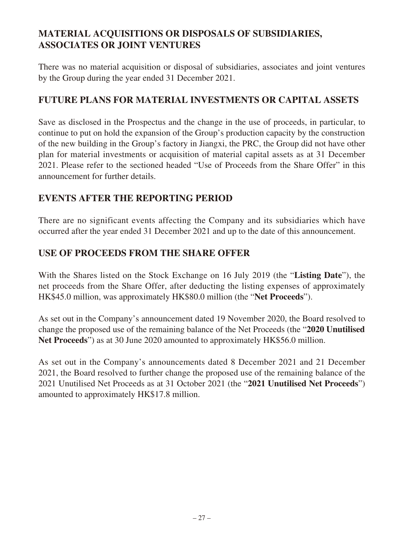# **MATERIAL ACQUISITIONS OR DISPOSALS OF SUBSIDIARIES, ASSOCIATES OR JOINT VENTURES**

There was no material acquisition or disposal of subsidiaries, associates and joint ventures by the Group during the year ended 31 December 2021.

# **FUTURE PLANS FOR MATERIAL INVESTMENTS OR CAPITAL ASSETS**

Save as disclosed in the Prospectus and the change in the use of proceeds, in particular, to continue to put on hold the expansion of the Group's production capacity by the construction of the new building in the Group's factory in Jiangxi, the PRC, the Group did not have other plan for material investments or acquisition of material capital assets as at 31 December 2021. Please refer to the sectioned headed "Use of Proceeds from the Share Offer" in this announcement for further details.

### **EVENTS AFTER THE REPORTING PERIOD**

There are no significant events affecting the Company and its subsidiaries which have occurred after the year ended 31 December 2021 and up to the date of this announcement.

### **USE OF PROCEEDS FROM THE SHARE OFFER**

With the Shares listed on the Stock Exchange on 16 July 2019 (the "**Listing Date**"), the net proceeds from the Share Offer, after deducting the listing expenses of approximately HK\$45.0 million, was approximately HK\$80.0 million (the "**Net Proceeds**").

As set out in the Company's announcement dated 19 November 2020, the Board resolved to change the proposed use of the remaining balance of the Net Proceeds (the "**2020 Unutilised Net Proceeds**") as at 30 June 2020 amounted to approximately HK\$56.0 million.

As set out in the Company's announcements dated 8 December 2021 and 21 December 2021, the Board resolved to further change the proposed use of the remaining balance of the 2021 Unutilised Net Proceeds as at 31 October 2021 (the "**2021 Unutilised Net Proceeds**") amounted to approximately HK\$17.8 million.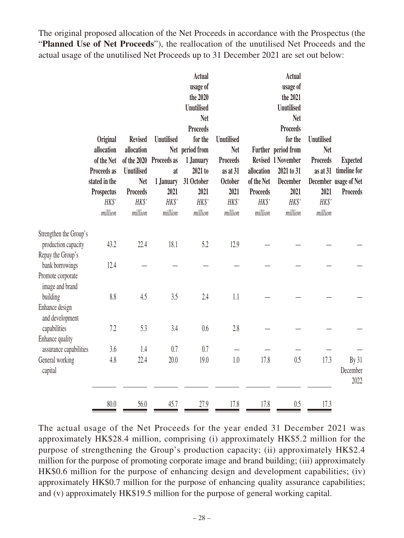The original proposed allocation of the Net Proceeds in accordance with the Prospectus (the "**Planned Use of Net Proceeds**"), the reallocation of the unutilised Net Proceeds and the actual usage of the unutilised Net Proceeds up to 31 December 2021 are set out below:

|                                                           | <b>Original</b><br>allocation<br>of the Net<br>Proceeds as<br>stated in the<br>Prospectus<br>HK\$'<br>million | <b>Revised</b><br>allocation<br>of the 2020<br><b>Unutilised</b><br><b>Net</b><br><b>Proceeds</b><br>HK\$'<br>million | <b>Unutilised</b><br>Proceeds as<br>at<br>1 January<br>2021<br>HK\$'<br>million | <b>Actual</b><br>usage of<br>the 2020<br><b>Unutilised</b><br><b>Net</b><br><b>Proceeds</b><br>for the<br>Net period from<br>1 January<br>2021 to<br>31 October<br>2021<br>HK\$'<br>million | <b>Unutilised</b><br><b>Net</b><br><b>Proceeds</b><br>as at 31<br><b>October</b><br>2021<br>HK\$'<br>million | allocation<br>of the Net<br><b>Proceeds</b><br>HK\$'<br>million | <b>Actual</b><br>usage of<br>the 2021<br><b>Unutilised</b><br><b>Net</b><br><b>Proceeds</b><br>for the<br>Further period from<br>Revised 1 November<br>2021 to 31<br><b>December</b><br>2021<br>HK\$'<br>million | <b>Unutilised</b><br><b>Net</b><br><b>Proceeds</b><br>2021<br>HK\$'<br>million | <b>Expected</b><br>as at 31 timeline for<br>December usage of Net<br><b>Proceeds</b> |
|-----------------------------------------------------------|---------------------------------------------------------------------------------------------------------------|-----------------------------------------------------------------------------------------------------------------------|---------------------------------------------------------------------------------|---------------------------------------------------------------------------------------------------------------------------------------------------------------------------------------------|--------------------------------------------------------------------------------------------------------------|-----------------------------------------------------------------|------------------------------------------------------------------------------------------------------------------------------------------------------------------------------------------------------------------|--------------------------------------------------------------------------------|--------------------------------------------------------------------------------------|
| Strengthen the Group's<br>production capacity             | 43.2                                                                                                          | 22.4                                                                                                                  | 18.1                                                                            | 5.2                                                                                                                                                                                         | 12.9                                                                                                         |                                                                 |                                                                                                                                                                                                                  |                                                                                |                                                                                      |
| Repay the Group's<br>bank borrowings<br>Promote corporate | 12.4                                                                                                          |                                                                                                                       |                                                                                 |                                                                                                                                                                                             |                                                                                                              |                                                                 |                                                                                                                                                                                                                  |                                                                                |                                                                                      |
| image and brand<br>building<br>Enhance design             | $8.8\,$                                                                                                       | 4.5                                                                                                                   | 3.5                                                                             | 2.4                                                                                                                                                                                         | 1.1                                                                                                          |                                                                 |                                                                                                                                                                                                                  |                                                                                |                                                                                      |
| and development<br>capabilities<br><b>Enhance</b> quality | 7.2                                                                                                           | 5.3                                                                                                                   | 3.4                                                                             | 0.6                                                                                                                                                                                         | 2.8                                                                                                          |                                                                 |                                                                                                                                                                                                                  |                                                                                |                                                                                      |
| assurance capabilities<br>General working<br>capital      | 3.6<br>4.8                                                                                                    | 1.4<br>22.4                                                                                                           | 0.7<br>20.0                                                                     | 0.7<br>19.0                                                                                                                                                                                 | 1.0                                                                                                          | 17.8                                                            | 0.5                                                                                                                                                                                                              | 17.3                                                                           | By 31<br>December<br>2022                                                            |
|                                                           | 80.0                                                                                                          | 56.0                                                                                                                  | 45.7                                                                            | 27.9                                                                                                                                                                                        | 17.8                                                                                                         | 17.8                                                            | 0.5                                                                                                                                                                                                              | 17.3                                                                           |                                                                                      |

The actual usage of the Net Proceeds for the year ended 31 December 2021 was approximately HK\$28.4 million, comprising (i) approximately HK\$5.2 million for the purpose of strengthening the Group's production capacity; (ii) approximately HK\$2.4 million for the purpose of promoting corporate image and brand building; (iii) approximately HK\$0.6 million for the purpose of enhancing design and development capabilities; (iv) approximately HK\$0.7 million for the purpose of enhancing quality assurance capabilities; and (v) approximately HK\$19.5 million for the purpose of general working capital.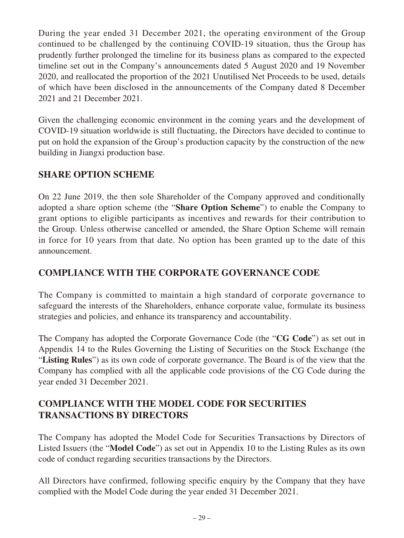During the year ended 31 December 2021, the operating environment of the Group continued to be challenged by the continuing COVID-19 situation, thus the Group has prudently further prolonged the timeline for its business plans as compared to the expected timeline set out in the Company's announcements dated 5 August 2020 and 19 November 2020, and reallocated the proportion of the 2021 Unutilised Net Proceeds to be used, details of which have been disclosed in the announcements of the Company dated 8 December 2021 and 21 December 2021.

Given the challenging economic environment in the coming years and the development of COVID-19 situation worldwide is still fluctuating, the Directors have decided to continue to put on hold the expansion of the Group's production capacity by the construction of the new building in Jiangxi production base.

# **SHARE OPTION SCHEME**

On 22 June 2019, the then sole Shareholder of the Company approved and conditionally adopted a share option scheme (the "**Share Option Scheme**") to enable the Company to grant options to eligible participants as incentives and rewards for their contribution to the Group. Unless otherwise cancelled or amended, the Share Option Scheme will remain in force for 10 years from that date. No option has been granted up to the date of this announcement.

# **COMPLIANCE WITH THE CORPORATE GOVERNANCE CODE**

The Company is committed to maintain a high standard of corporate governance to safeguard the interests of the Shareholders, enhance corporate value, formulate its business strategies and policies, and enhance its transparency and accountability.

The Company has adopted the Corporate Governance Code (the "**CG Code**") as set out in Appendix 14 to the Rules Governing the Listing of Securities on the Stock Exchange (the "**Listing Rules**") as its own code of corporate governance. The Board is of the view that the Company has complied with all the applicable code provisions of the CG Code during the year ended 31 December 2021.

# **COMPLIANCE WITH THE MODEL CODE FOR SECURITIES TRANSACTIONS BY DIRECTORS**

The Company has adopted the Model Code for Securities Transactions by Directors of Listed Issuers (the "**Model Code**") as set out in Appendix 10 to the Listing Rules as its own code of conduct regarding securities transactions by the Directors.

All Directors have confirmed, following specific enquiry by the Company that they have complied with the Model Code during the year ended 31 December 2021.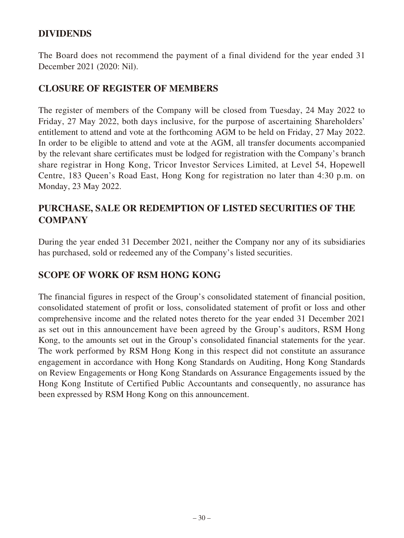## **DIVIDENDS**

The Board does not recommend the payment of a final dividend for the year ended 31 December 2021 (2020: Nil).

### **CLOSURE OF REGISTER OF MEMBERS**

The register of members of the Company will be closed from Tuesday, 24 May 2022 to Friday, 27 May 2022, both days inclusive, for the purpose of ascertaining Shareholders' entitlement to attend and vote at the forthcoming AGM to be held on Friday, 27 May 2022. In order to be eligible to attend and vote at the AGM, all transfer documents accompanied by the relevant share certificates must be lodged for registration with the Company's branch share registrar in Hong Kong, Tricor Investor Services Limited, at Level 54, Hopewell Centre, 183 Queen's Road East, Hong Kong for registration no later than 4:30 p.m. on Monday, 23 May 2022.

# **PURCHASE, SALE OR REDEMPTION OF LISTED SECURITIES OF THE COMPANY**

During the year ended 31 December 2021, neither the Company nor any of its subsidiaries has purchased, sold or redeemed any of the Company's listed securities.

### **SCOPE OF WORK OF RSM HONG KONG**

The financial figures in respect of the Group's consolidated statement of financial position, consolidated statement of profit or loss, consolidated statement of profit or loss and other comprehensive income and the related notes thereto for the year ended 31 December 2021 as set out in this announcement have been agreed by the Group's auditors, RSM Hong Kong, to the amounts set out in the Group's consolidated financial statements for the year. The work performed by RSM Hong Kong in this respect did not constitute an assurance engagement in accordance with Hong Kong Standards on Auditing, Hong Kong Standards on Review Engagements or Hong Kong Standards on Assurance Engagements issued by the Hong Kong Institute of Certified Public Accountants and consequently, no assurance has been expressed by RSM Hong Kong on this announcement.